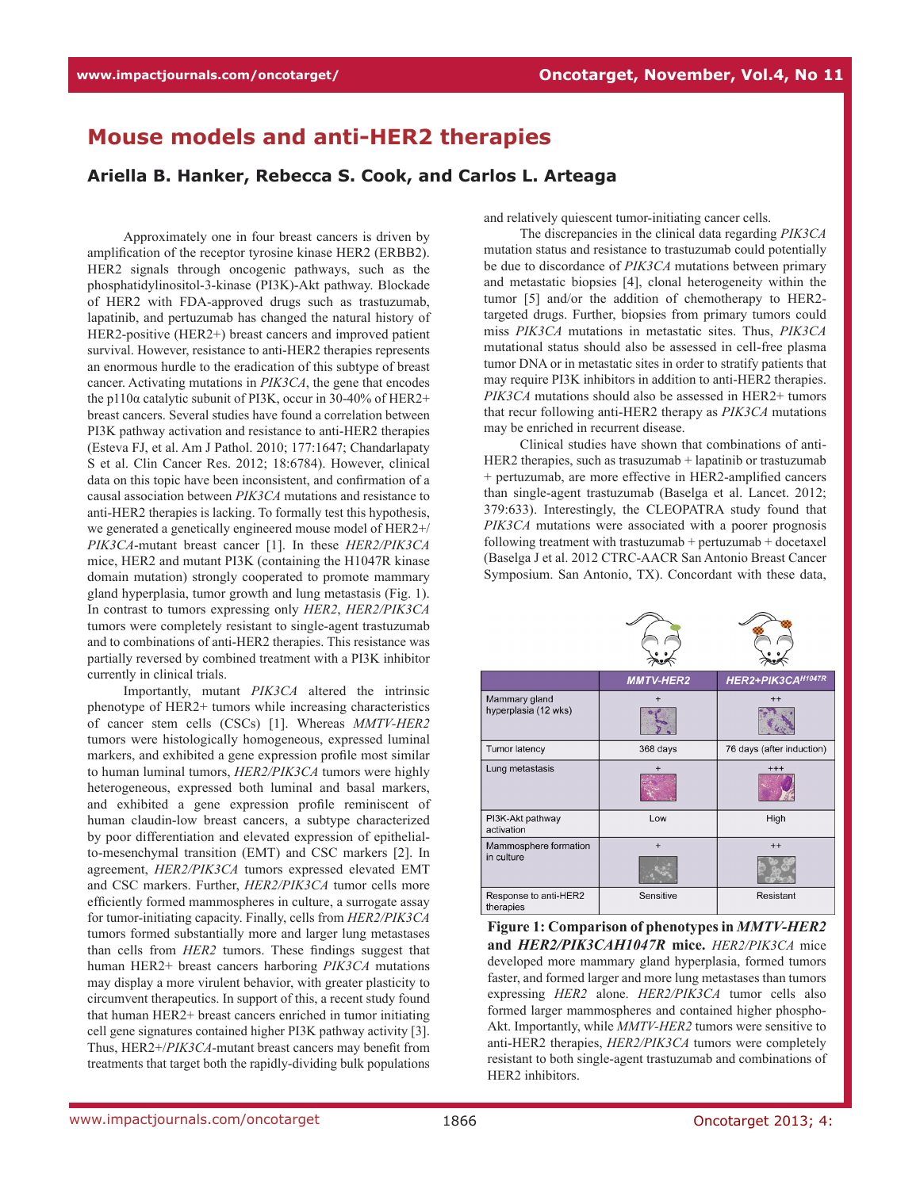## **Mouse models and anti-HER2 therapies**

## **Ariella B. Hanker, Rebecca S. Cook, and Carlos L. Arteaga**

Approximately one in four breast cancers is driven by amplification of the receptor tyrosine kinase HER2 (ERBB2). HER2 signals through oncogenic pathways, such as the phosphatidylinositol-3-kinase (PI3K)-Akt pathway. Blockade of HER2 with FDA-approved drugs such as trastuzumab, lapatinib, and pertuzumab has changed the natural history of HER2-positive (HER2+) breast cancers and improved patient survival. However, resistance to anti-HER2 therapies represents an enormous hurdle to the eradication of this subtype of breast cancer. Activating mutations in *PIK3CA*, the gene that encodes the p110 $\alpha$  catalytic subunit of PI3K, occur in 30-40% of HER2+ breast cancers. Several studies have found a correlation between PI3K pathway activation and resistance to anti-HER2 therapies (Esteva FJ, et al. Am J Pathol. 2010; 177:1647; Chandarlapaty S et al. Clin Cancer Res. 2012; 18:6784). However, clinical data on this topic have been inconsistent, and confirmation of a causal association between *PIK3CA* mutations and resistance to anti-HER2 therapies is lacking. To formally test this hypothesis, we generated a genetically engineered mouse model of HER2+/ *PIK3CA*-mutant breast cancer [1]. In these *HER2/PIK3CA* mice, HER2 and mutant PI3K (containing the H1047R kinase domain mutation) strongly cooperated to promote mammary gland hyperplasia, tumor growth and lung metastasis (Fig. 1). In contrast to tumors expressing only *HER2*, *HER2/PIK3CA* tumors were completely resistant to single-agent trastuzumab and to combinations of anti-HER2 therapies. This resistance was partially reversed by combined treatment with a PI3K inhibitor currently in clinical trials.

Importantly, mutant *PIK3CA* altered the intrinsic phenotype of HER2+ tumors while increasing characteristics of cancer stem cells (CSCs) [1]. Whereas *MMTV-HER2* tumors were histologically homogeneous, expressed luminal markers, and exhibited a gene expression profile most similar to human luminal tumors, *HER2/PIK3CA* tumors were highly heterogeneous, expressed both luminal and basal markers, and exhibited a gene expression profile reminiscent of human claudin-low breast cancers, a subtype characterized by poor differentiation and elevated expression of epithelialto-mesenchymal transition (EMT) and CSC markers [2]. In agreement, *HER2/PIK3CA* tumors expressed elevated EMT and CSC markers. Further, *HER2/PIK3CA* tumor cells more efficiently formed mammospheres in culture, a surrogate assay for tumor-initiating capacity. Finally, cells from *HER2/PIK3CA* tumors formed substantially more and larger lung metastases than cells from *HER2* tumors. These findings suggest that human HER2+ breast cancers harboring *PIK3CA* mutations may display a more virulent behavior, with greater plasticity to circumvent therapeutics. In support of this, a recent study found that human HER2+ breast cancers enriched in tumor initiating cell gene signatures contained higher PI3K pathway activity [3]. Thus, HER2+/*PIK3CA*-mutant breast cancers may benefit from treatments that target both the rapidly-dividing bulk populations

and relatively quiescent tumor-initiating cancer cells.

The discrepancies in the clinical data regarding *PIK3CA* mutation status and resistance to trastuzumab could potentially be due to discordance of *PIK3CA* mutations between primary and metastatic biopsies [4], clonal heterogeneity within the tumor [5] and/or the addition of chemotherapy to HER2 targeted drugs. Further, biopsies from primary tumors could miss *PIK3CA* mutations in metastatic sites. Thus, *PIK3CA* mutational status should also be assessed in cell-free plasma tumor DNA or in metastatic sites in order to stratify patients that may require PI3K inhibitors in addition to anti-HER2 therapies. *PIK3CA* mutations should also be assessed in HER2+ tumors that recur following anti-HER2 therapy as *PIK3CA* mutations may be enriched in recurrent disease.

Clinical studies have shown that combinations of anti-HER2 therapies, such as trasuzumab + lapatinib or trastuzumab + pertuzumab, are more effective in HER2-amplified cancers than single-agent trastuzumab (Baselga et al. Lancet. 2012; 379:633). Interestingly, the CLEOPATRA study found that *PIK3CA* mutations were associated with a poorer prognosis following treatment with trastuzumab + pertuzumab + docetaxel (Baselga J et al. 2012 CTRC-AACR San Antonio Breast Cancer Symposium. San Antonio, TX). Concordant with these data,

|                                       | <b>MMTV-HER2</b> | HER2+PIK3CA <sup>H1047R</sup> |
|---------------------------------------|------------------|-------------------------------|
| Mammary gland<br>hyperplasia (12 wks) | $\overline{+}$   | $++$                          |
| Tumor latency                         | 368 days         | 76 days (after induction)     |
| Lung metastasis                       | $+$              | $+++$                         |
| PI3K-Akt pathway<br>activation        | Low              | High                          |
| Mammosphere formation<br>in culture   | $+$              | $++$                          |
| Response to anti-HER2<br>therapies    | Sensitive        | Resistant                     |

**Figure 1: Comparison of phenotypes in** *MMTV-HER2* **and** *HER2/PIK3CAH1047R* **mice.** *HER2/PIK3CA* mice developed more mammary gland hyperplasia, formed tumors faster, and formed larger and more lung metastases than tumors expressing *HER2* alone. *HER2/PIK3CA* tumor cells also formed larger mammospheres and contained higher phospho-Akt. Importantly, while *MMTV-HER2* tumors were sensitive to anti-HER2 therapies, *HER2/PIK3CA* tumors were completely resistant to both single-agent trastuzumab and combinations of HER2 inhibitors.